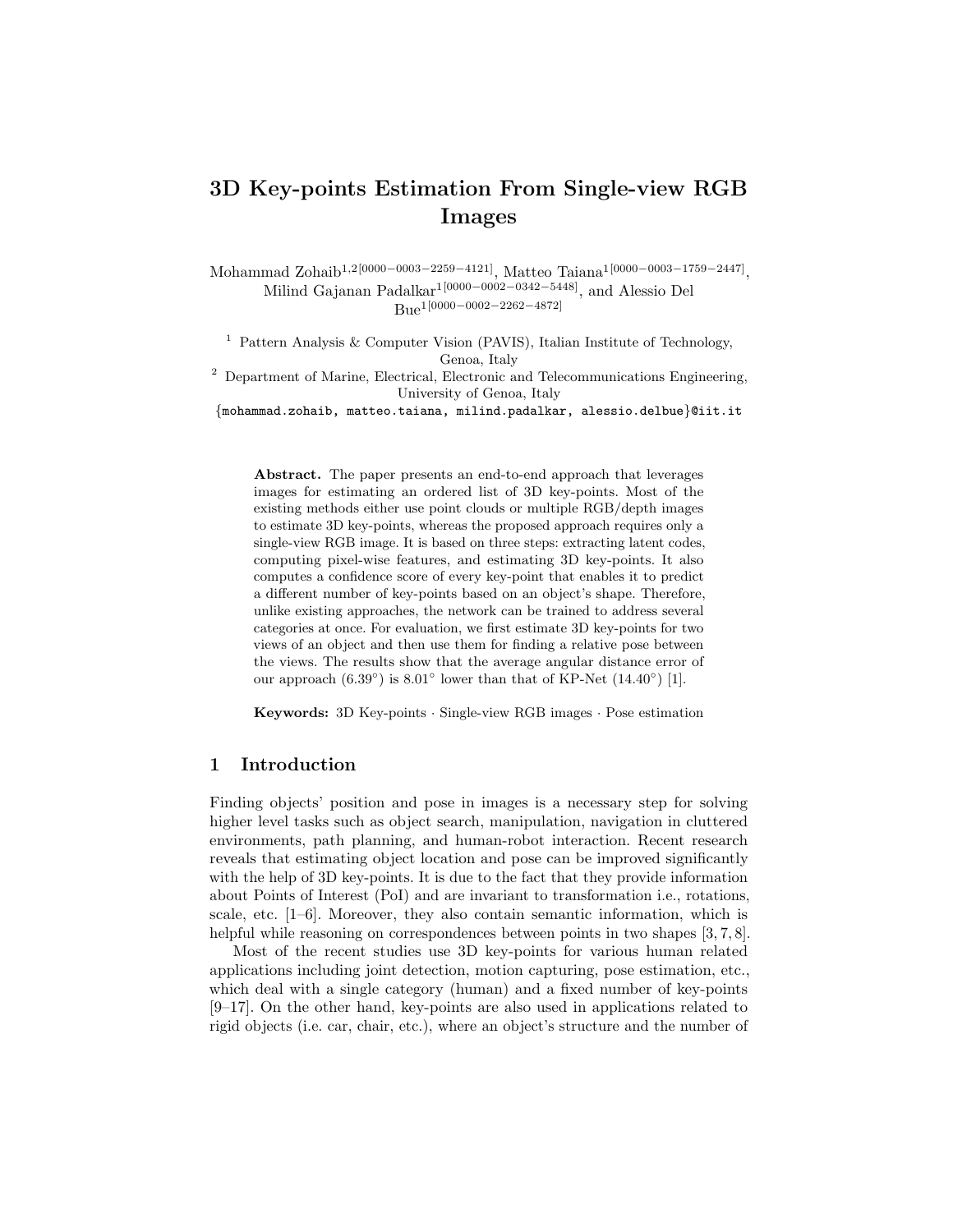# 3D Key-points Estimation From Single-view RGB Images

Mohammad Zohaib<sup>1,2[0000–0003–2259–4121]</sup>, Matteo Taiana<sup>1[0000–0003–1759–2447]</sup>, Milind Gajanan Padalkar1[0000−0002−0342−5448], and Alessio Del Bue1[0000−0002−2262−4872]

<sup>1</sup> Pattern Analysis & Computer Vision (PAVIS), Italian Institute of Technology, Genoa, Italy

<sup>2</sup> Department of Marine, Electrical, Electronic and Telecommunications Engineering, University of Genoa, Italy

{mohammad.zohaib, matteo.taiana, milind.padalkar, alessio.delbue}@iit.it

Abstract. The paper presents an end-to-end approach that leverages images for estimating an ordered list of 3D key-points. Most of the existing methods either use point clouds or multiple RGB/depth images to estimate 3D key-points, whereas the proposed approach requires only a single-view RGB image. It is based on three steps: extracting latent codes, computing pixel-wise features, and estimating 3D key-points. It also computes a confidence score of every key-point that enables it to predict a different number of key-points based on an object's shape. Therefore, unlike existing approaches, the network can be trained to address several categories at once. For evaluation, we first estimate 3D key-points for two views of an object and then use them for finding a relative pose between the views. The results show that the average angular distance error of our approach  $(6.39°)$  is  $8.01°$  lower than that of KP-Net  $(14.40°)$  [1].

Keywords: 3D Key-points · Single-view RGB images · Pose estimation

## 1 Introduction

Finding objects' position and pose in images is a necessary step for solving higher level tasks such as object search, manipulation, navigation in cluttered environments, path planning, and human-robot interaction. Recent research reveals that estimating object location and pose can be improved significantly with the help of 3D key-points. It is due to the fact that they provide information about Points of Interest (PoI) and are invariant to transformation i.e., rotations, scale, etc. [1–6]. Moreover, they also contain semantic information, which is helpful while reasoning on correspondences between points in two shapes [3, 7, 8].

Most of the recent studies use 3D key-points for various human related applications including joint detection, motion capturing, pose estimation, etc., which deal with a single category (human) and a fixed number of key-points [9–17]. On the other hand, key-points are also used in applications related to rigid objects (i.e. car, chair, etc.), where an object's structure and the number of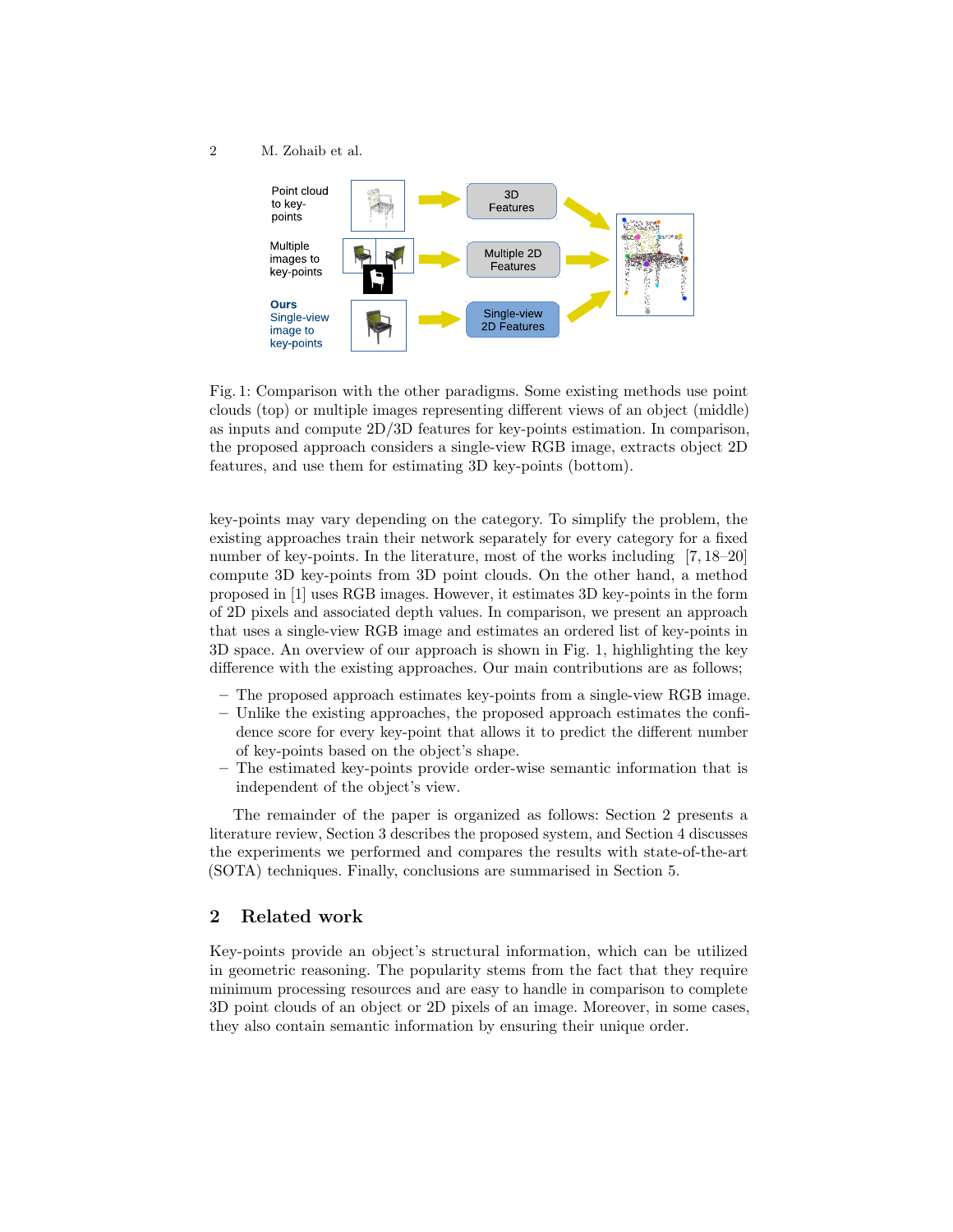

Fig. 1: Comparison with the other paradigms. Some existing methods use point clouds (top) or multiple images representing different views of an object (middle) as inputs and compute 2D/3D features for key-points estimation. In comparison, the proposed approach considers a single-view RGB image, extracts object 2D features, and use them for estimating 3D key-points (bottom).

key-points may vary depending on the category. To simplify the problem, the existing approaches train their network separately for every category for a fixed number of key-points. In the literature, most of the works including [7, 18–20] compute 3D key-points from 3D point clouds. On the other hand, a method proposed in [1] uses RGB images. However, it estimates 3D key-points in the form of 2D pixels and associated depth values. In comparison, we present an approach that uses a single-view RGB image and estimates an ordered list of key-points in 3D space. An overview of our approach is shown in Fig. 1, highlighting the key difference with the existing approaches. Our main contributions are as follows;

- The proposed approach estimates key-points from a single-view RGB image.
- Unlike the existing approaches, the proposed approach estimates the confidence score for every key-point that allows it to predict the different number of key-points based on the object's shape.
- The estimated key-points provide order-wise semantic information that is independent of the object's view.

The remainder of the paper is organized as follows: Section 2 presents a literature review, Section 3 describes the proposed system, and Section 4 discusses the experiments we performed and compares the results with state-of-the-art (SOTA) techniques. Finally, conclusions are summarised in Section 5.

# 2 Related work

Key-points provide an object's structural information, which can be utilized in geometric reasoning. The popularity stems from the fact that they require minimum processing resources and are easy to handle in comparison to complete 3D point clouds of an object or 2D pixels of an image. Moreover, in some cases, they also contain semantic information by ensuring their unique order.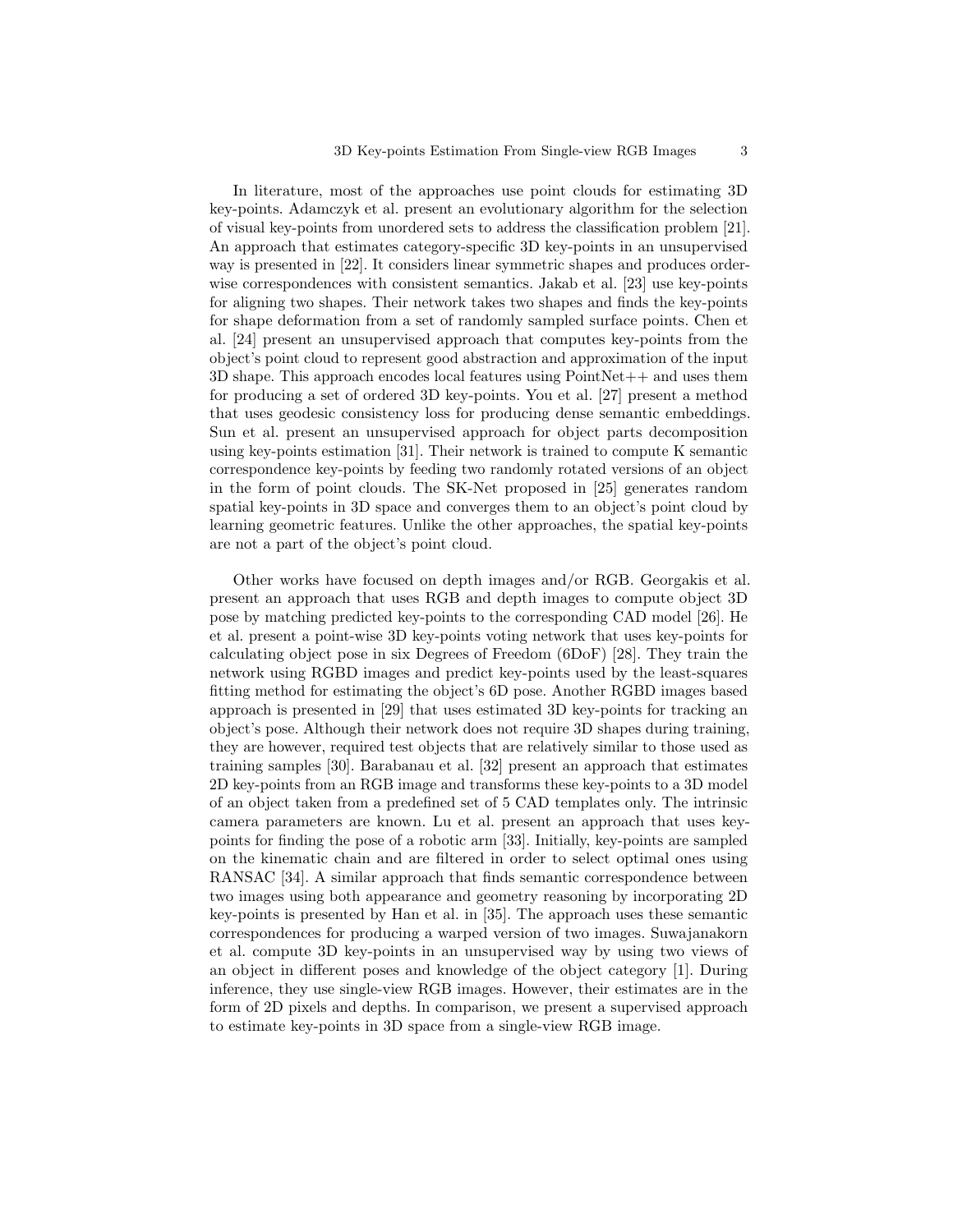In literature, most of the approaches use point clouds for estimating 3D key-points. Adamczyk et al. present an evolutionary algorithm for the selection of visual key-points from unordered sets to address the classification problem [21]. An approach that estimates category-specific 3D key-points in an unsupervised way is presented in [22]. It considers linear symmetric shapes and produces orderwise correspondences with consistent semantics. Jakab et al. [23] use key-points for aligning two shapes. Their network takes two shapes and finds the key-points for shape deformation from a set of randomly sampled surface points. Chen et al. [24] present an unsupervised approach that computes key-points from the object's point cloud to represent good abstraction and approximation of the input  $3D$  shape. This approach encodes local features using  $PointNet++$  and uses them for producing a set of ordered 3D key-points. You et al. [27] present a method that uses geodesic consistency loss for producing dense semantic embeddings. Sun et al. present an unsupervised approach for object parts decomposition using key-points estimation [31]. Their network is trained to compute K semantic correspondence key-points by feeding two randomly rotated versions of an object in the form of point clouds. The SK-Net proposed in [25] generates random spatial key-points in 3D space and converges them to an object's point cloud by learning geometric features. Unlike the other approaches, the spatial key-points are not a part of the object's point cloud.

Other works have focused on depth images and/or RGB. Georgakis et al. present an approach that uses RGB and depth images to compute object 3D pose by matching predicted key-points to the corresponding CAD model [26]. He et al. present a point-wise 3D key-points voting network that uses key-points for calculating object pose in six Degrees of Freedom (6DoF) [28]. They train the network using RGBD images and predict key-points used by the least-squares fitting method for estimating the object's 6D pose. Another RGBD images based approach is presented in [29] that uses estimated 3D key-points for tracking an object's pose. Although their network does not require 3D shapes during training, they are however, required test objects that are relatively similar to those used as training samples [30]. Barabanau et al. [32] present an approach that estimates 2D key-points from an RGB image and transforms these key-points to a 3D model of an object taken from a predefined set of 5 CAD templates only. The intrinsic camera parameters are known. Lu et al. present an approach that uses keypoints for finding the pose of a robotic arm [33]. Initially, key-points are sampled on the kinematic chain and are filtered in order to select optimal ones using RANSAC [34]. A similar approach that finds semantic correspondence between two images using both appearance and geometry reasoning by incorporating 2D key-points is presented by Han et al. in [35]. The approach uses these semantic correspondences for producing a warped version of two images. Suwajanakorn et al. compute 3D key-points in an unsupervised way by using two views of an object in different poses and knowledge of the object category [1]. During inference, they use single-view RGB images. However, their estimates are in the form of 2D pixels and depths. In comparison, we present a supervised approach to estimate key-points in 3D space from a single-view RGB image.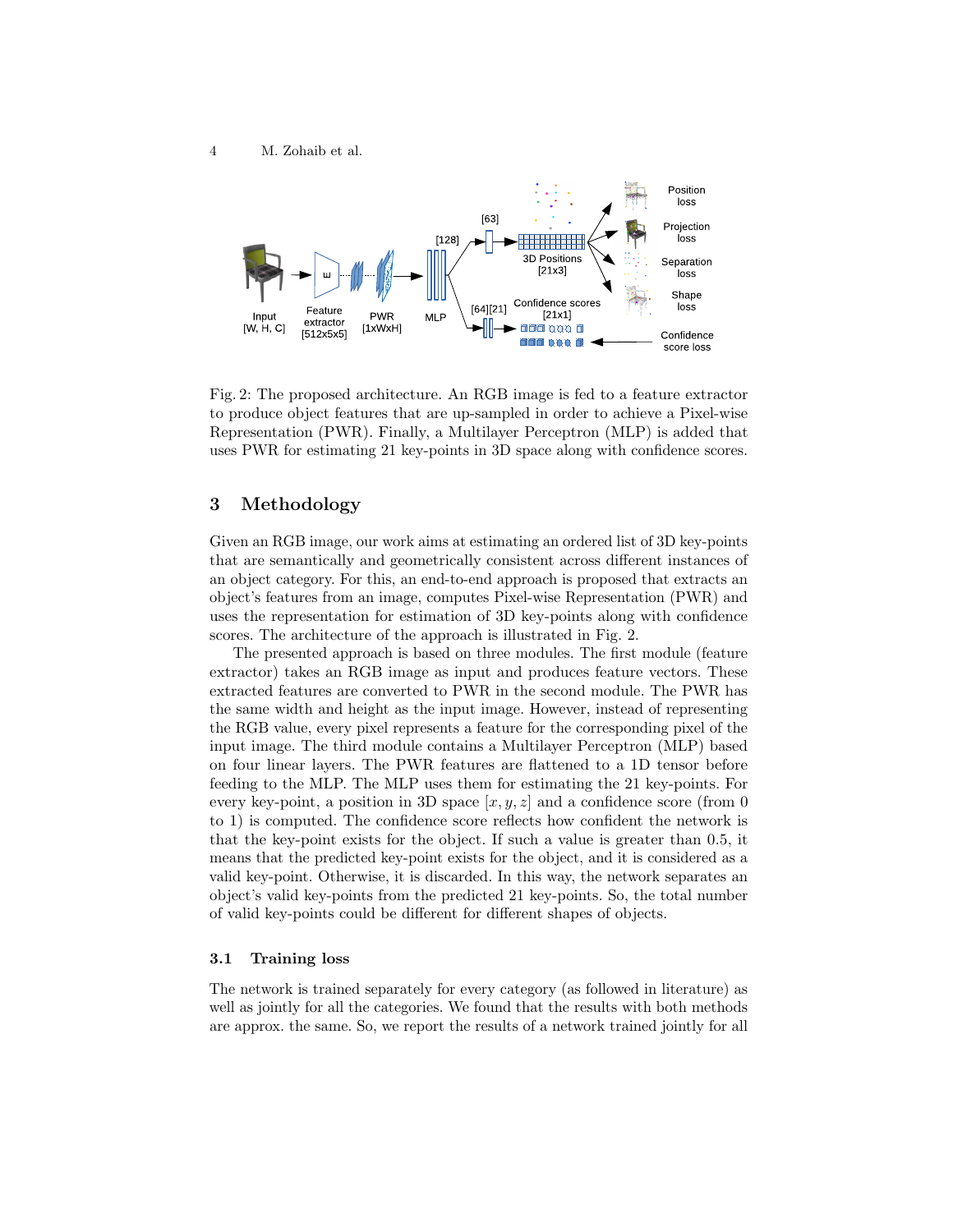

Fig. 2: The proposed architecture. An RGB image is fed to a feature extractor to produce object features that are up-sampled in order to achieve a Pixel-wise Representation (PWR). Finally, a Multilayer Perceptron (MLP) is added that uses PWR for estimating 21 key-points in 3D space along with confidence scores.

## 3 Methodology

Given an RGB image, our work aims at estimating an ordered list of 3D key-points that are semantically and geometrically consistent across different instances of an object category. For this, an end-to-end approach is proposed that extracts an object's features from an image, computes Pixel-wise Representation (PWR) and uses the representation for estimation of 3D key-points along with confidence scores. The architecture of the approach is illustrated in Fig. 2.

The presented approach is based on three modules. The first module (feature extractor) takes an RGB image as input and produces feature vectors. These extracted features are converted to PWR in the second module. The PWR has the same width and height as the input image. However, instead of representing the RGB value, every pixel represents a feature for the corresponding pixel of the input image. The third module contains a Multilayer Perceptron (MLP) based on four linear layers. The PWR features are flattened to a 1D tensor before feeding to the MLP. The MLP uses them for estimating the 21 key-points. For every key-point, a position in 3D space  $[x, y, z]$  and a confidence score (from 0) to 1) is computed. The confidence score reflects how confident the network is that the key-point exists for the object. If such a value is greater than 0.5, it means that the predicted key-point exists for the object, and it is considered as a valid key-point. Otherwise, it is discarded. In this way, the network separates an object's valid key-points from the predicted 21 key-points. So, the total number of valid key-points could be different for different shapes of objects.

## 3.1 Training loss

The network is trained separately for every category (as followed in literature) as well as jointly for all the categories. We found that the results with both methods are approx. the same. So, we report the results of a network trained jointly for all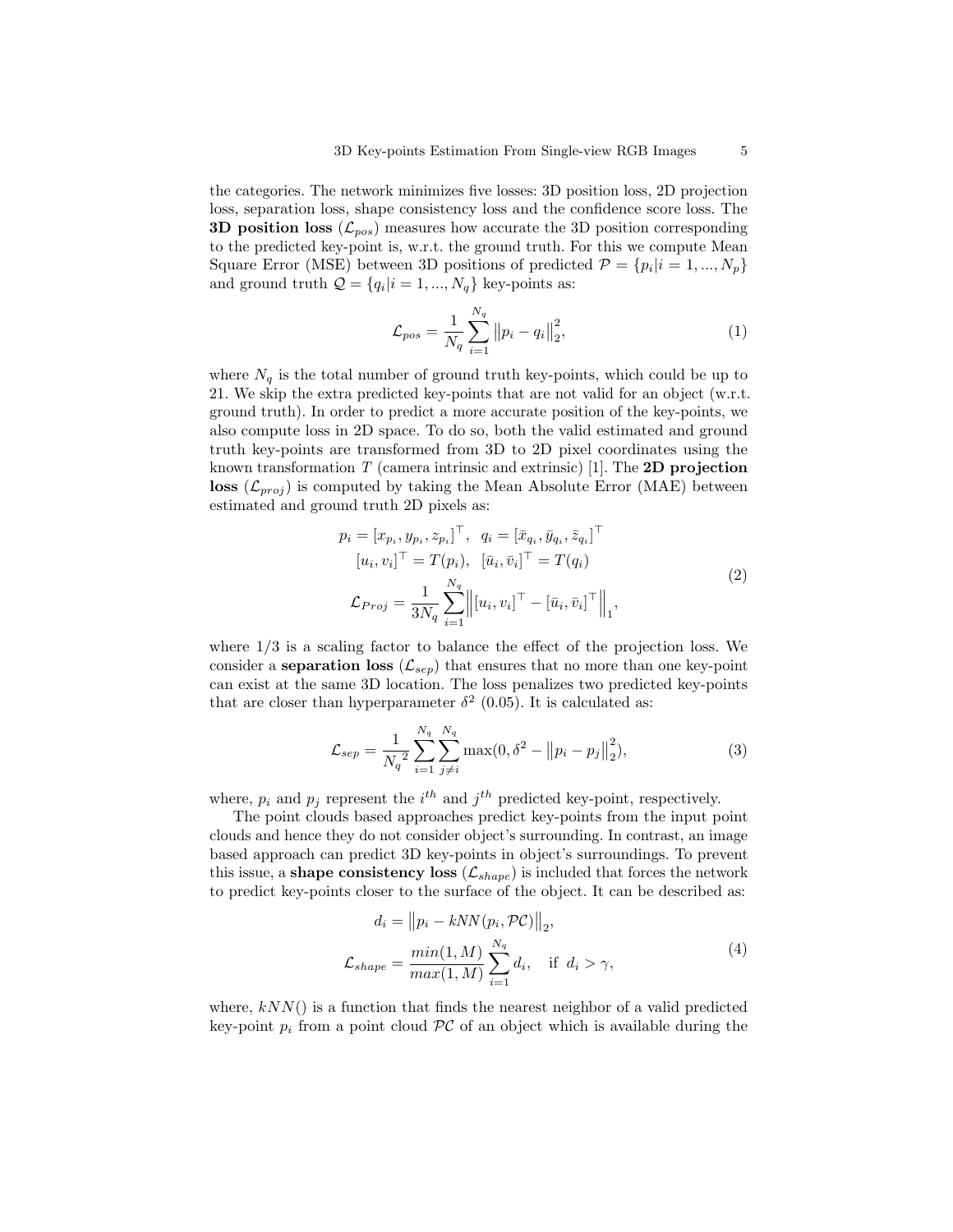the categories. The network minimizes five losses: 3D position loss, 2D projection loss, separation loss, shape consistency loss and the confidence score loss. The **3D position loss**  $(\mathcal{L}_{pos})$  measures how accurate the 3D position corresponding to the predicted key-point is, w.r.t. the ground truth. For this we compute Mean Square Error (MSE) between 3D positions of predicted  $\mathcal{P} = \{p_i | i = 1, ..., N_p\}$ and ground truth  $\mathcal{Q} = \{q_i | i = 1, ..., N_q\}$  key-points as:

$$
\mathcal{L}_{pos} = \frac{1}{N_q} \sum_{i=1}^{N_q} ||p_i - q_i||_2^2, \tag{1}
$$

where  $N_q$  is the total number of ground truth key-points, which could be up to 21. We skip the extra predicted key-points that are not valid for an object (w.r.t. ground truth). In order to predict a more accurate position of the key-points, we also compute loss in 2D space. To do so, both the valid estimated and ground truth key-points are transformed from 3D to 2D pixel coordinates using the known transformation T (camera intrinsic and extrinsic) [1]. The **2D projection** loss  $(\mathcal{L}_{proj})$  is computed by taking the Mean Absolute Error (MAE) between estimated and ground truth 2D pixels as:

$$
p_i = [x_{p_i}, y_{p_i}, z_{p_i}]^\top, \quad q_i = [\bar{x}_{q_i}, \bar{y}_{q_i}, \bar{z}_{q_i}]^\top \n[u_i, v_i]^\top = T(p_i), \quad [\bar{u}_i, \bar{v}_i]^\top = T(q_i) \n\mathcal{L}_{Proj} = \frac{1}{3N_q} \sum_{i=1}^{N_q} \left\| [u_i, v_i]^\top - [\bar{u}_i, \bar{v}_i]^\top \right\|_1,
$$
\n(2)

where 1/3 is a scaling factor to balance the effect of the projection loss. We consider a **separation loss** ( $\mathcal{L}_{sep}$ ) that ensures that no more than one key-point can exist at the same 3D location. The loss penalizes two predicted key-points that are closer than hyperparameter  $\delta^2$  (0.05). It is calculated as:

$$
\mathcal{L}_{sep} = \frac{1}{N_q^2} \sum_{i=1}^{N_q} \sum_{j \neq i}^{N_q} \max(0, \delta^2 - ||p_i - p_j||_2^2), \tag{3}
$$

where,  $p_i$  and  $p_j$  represent the  $i^{th}$  and  $j^{th}$  predicted key-point, respectively.

The point clouds based approaches predict key-points from the input point clouds and hence they do not consider object's surrounding. In contrast, an image based approach can predict 3D key-points in object's surroundings. To prevent this issue, a shape consistency loss  $(\mathcal{L}_{shape})$  is included that forces the network to predict key-points closer to the surface of the object. It can be described as:

$$
d_i = ||p_i - kNN(p_i, \mathcal{PC})||_2,
$$
  

$$
\mathcal{L}_{shape} = \frac{\min(1, M)}{\max(1, M)} \sum_{i=1}^{N_q} d_i, \quad \text{if } d_i > \gamma,
$$
 (4)

where,  $kNN()$  is a function that finds the nearest neighbor of a valid predicted key-point  $p_i$  from a point cloud  $\mathcal{PC}$  of an object which is available during the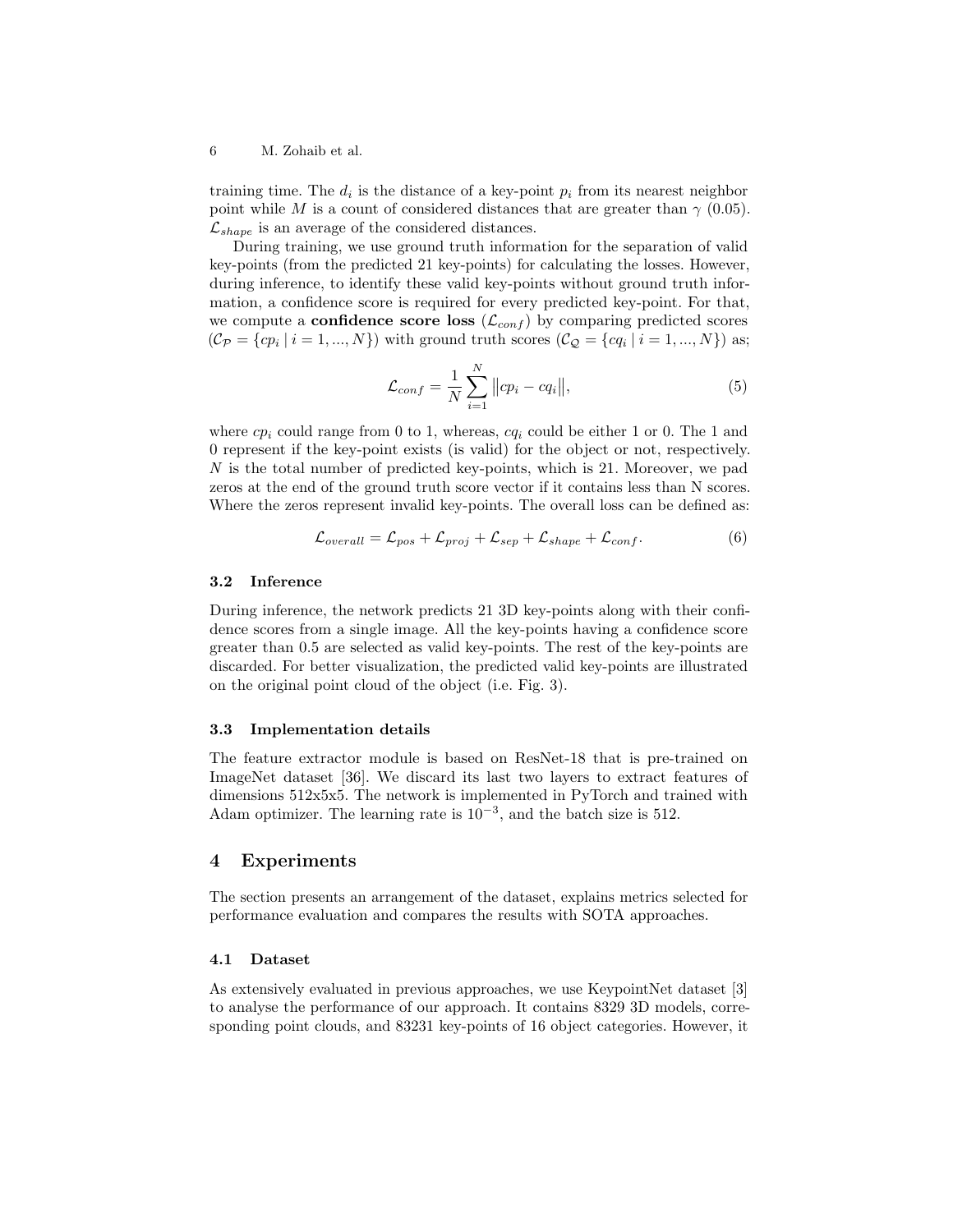training time. The  $d_i$  is the distance of a key-point  $p_i$  from its nearest neighbor point while M is a count of considered distances that are greater than  $\gamma$  (0.05).  $\mathcal{L}_{shape}$  is an average of the considered distances.

During training, we use ground truth information for the separation of valid key-points (from the predicted 21 key-points) for calculating the losses. However, during inference, to identify these valid key-points without ground truth information, a confidence score is required for every predicted key-point. For that, we compute a **confidence score loss**  $(\mathcal{L}_{conf})$  by comparing predicted scores  $(C_{\mathcal{P}} = \{cp_i \mid i = 1, ..., N\})$  with ground truth scores  $(C_{\mathcal{Q}} = \{cq_i \mid i = 1, ..., N\})$  as;

$$
\mathcal{L}_{conf} = \frac{1}{N} \sum_{i=1}^{N} ||cp_i - cq_i||,
$$
\n(5)

where  $cp_i$  could range from 0 to 1, whereas,  $cq_i$  could be either 1 or 0. The 1 and 0 represent if the key-point exists (is valid) for the object or not, respectively.  $N$  is the total number of predicted key-points, which is 21. Moreover, we pad zeros at the end of the ground truth score vector if it contains less than N scores. Where the zeros represent invalid key-points. The overall loss can be defined as:

$$
\mathcal{L}_{overall} = \mathcal{L}_{pos} + \mathcal{L}_{proj} + \mathcal{L}_{sep} + \mathcal{L}_{shape} + \mathcal{L}_{conf}.
$$
\n(6)

## 3.2 Inference

During inference, the network predicts 21 3D key-points along with their confidence scores from a single image. All the key-points having a confidence score greater than 0.5 are selected as valid key-points. The rest of the key-points are discarded. For better visualization, the predicted valid key-points are illustrated on the original point cloud of the object (i.e. Fig. 3).

#### 3.3 Implementation details

The feature extractor module is based on ResNet-18 that is pre-trained on ImageNet dataset [36]. We discard its last two layers to extract features of dimensions 512x5x5. The network is implemented in PyTorch and trained with Adam optimizer. The learning rate is  $10^{-3}$ , and the batch size is 512.

## 4 Experiments

The section presents an arrangement of the dataset, explains metrics selected for performance evaluation and compares the results with SOTA approaches.

## 4.1 Dataset

As extensively evaluated in previous approaches, we use KeypointNet dataset [3] to analyse the performance of our approach. It contains 8329 3D models, corresponding point clouds, and 83231 key-points of 16 object categories. However, it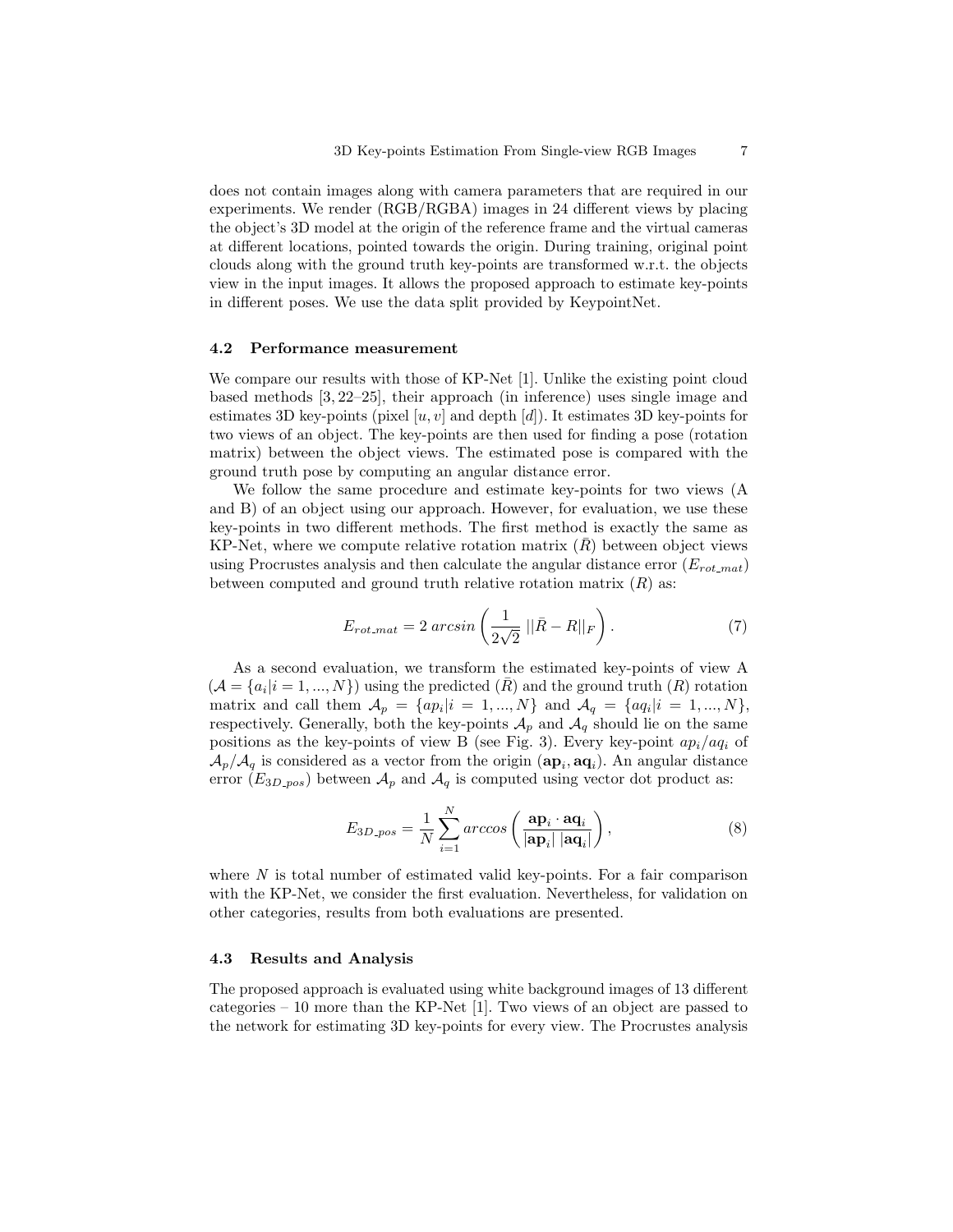does not contain images along with camera parameters that are required in our experiments. We render (RGB/RGBA) images in 24 different views by placing the object's 3D model at the origin of the reference frame and the virtual cameras at different locations, pointed towards the origin. During training, original point clouds along with the ground truth key-points are transformed w.r.t. the objects view in the input images. It allows the proposed approach to estimate key-points in different poses. We use the data split provided by KeypointNet.

## 4.2 Performance measurement

We compare our results with those of KP-Net [1]. Unlike the existing point cloud based methods [3, 22–25], their approach (in inference) uses single image and estimates 3D key-points (pixel  $[u, v]$  and depth  $[d]$ ). It estimates 3D key-points for two views of an object. The key-points are then used for finding a pose (rotation matrix) between the object views. The estimated pose is compared with the ground truth pose by computing an angular distance error.

We follow the same procedure and estimate key-points for two views (A and B) of an object using our approach. However, for evaluation, we use these key-points in two different methods. The first method is exactly the same as KP-Net, where we compute relative rotation matrix  $(\bar{R})$  between object views using Procrustes analysis and then calculate the angular distance error  $(E_{rot\_mat})$ between computed and ground truth relative rotation matrix  $(R)$  as:

$$
E_{rot\_mat} = 2 \arcsin\left(\frac{1}{2\sqrt{2}} \left| \left| \bar{R} - R \right| \right|_F\right). \tag{7}
$$

As a second evaluation, we transform the estimated key-points of view A  $(A = \{a_i | i = 1, ..., N\})$  using the predicted  $(\overline{R})$  and the ground truth  $(R)$  rotation matrix and call them  $A_p = \{ap_i | i = 1, ..., N\}$  and  $A_q = \{aq_i | i = 1, ..., N\},\$ respectively. Generally, both the key-points  $\mathcal{A}_p$  and  $\mathcal{A}_q$  should lie on the same positions as the key-points of view B (see Fig. 3). Every key-point  $ap_i/aq_i$  of  $\mathcal{A}_p/\mathcal{A}_q$  is considered as a vector from the origin  $(\mathbf{ap}_i, \mathbf{aq}_i)$ . An angular distance error  $(E_{3D\_{pos}})$  between  $\mathcal{A}_p$  and  $\mathcal{A}_q$  is computed using vector dot product as:

$$
E_{3D\text{-}pos} = \frac{1}{N} \sum_{i=1}^{N} arccos\left(\frac{\mathbf{ap}_i \cdot \mathbf{aq}_i}{|\mathbf{ap}_i| |\mathbf{aq}_i|}\right),\tag{8}
$$

where  $N$  is total number of estimated valid key-points. For a fair comparison with the KP-Net, we consider the first evaluation. Nevertheless, for validation on other categories, results from both evaluations are presented.

#### 4.3 Results and Analysis

The proposed approach is evaluated using white background images of 13 different categories – 10 more than the KP-Net [1]. Two views of an object are passed to the network for estimating 3D key-points for every view. The Procrustes analysis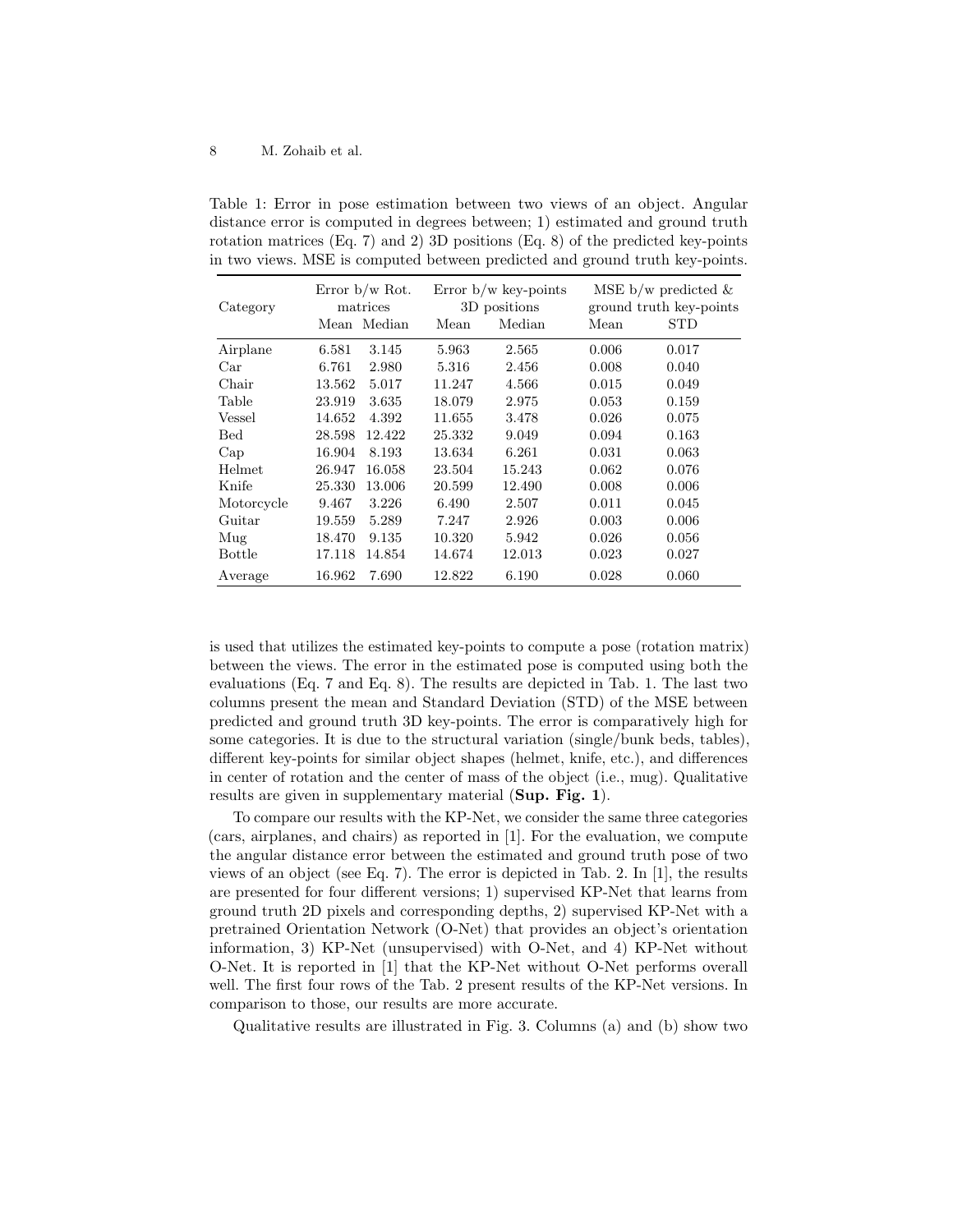Table 1: Error in pose estimation between two views of an object. Angular distance error is computed in degrees between; 1) estimated and ground truth rotation matrices (Eq. 7) and 2) 3D positions (Eq. 8) of the predicted key-points in two views. MSE is computed between predicted and ground truth key-points.

| Category      | Error $b/w$ Rot.<br>matrices |        | Error $b/w$ key-points<br>3D positions |       | MSE b/w predicted $\&$<br>ground truth key-points |  |
|---------------|------------------------------|--------|----------------------------------------|-------|---------------------------------------------------|--|
|               | Mean Median                  | Mean   | Median                                 | Mean  | <b>STD</b>                                        |  |
| Airplane      | 6.581<br>3.145               | 5.963  | 2.565                                  | 0.006 | 0.017                                             |  |
| Car           | 6.761<br>2.980               | 5.316  | 2.456                                  | 0.008 | 0.040                                             |  |
| Chair         | 13.562<br>5.017              | 11.247 | 4.566                                  | 0.015 | 0.049                                             |  |
| Table         | 23.919<br>3.635              | 18.079 | 2.975                                  | 0.053 | 0.159                                             |  |
| Vessel        | 14.652<br>4.392              | 11.655 | 3.478                                  | 0.026 | 0.075                                             |  |
| <b>Bed</b>    | 28.598<br>12.422             | 25.332 | 9.049                                  | 0.094 | 0.163                                             |  |
| Cap           | 16.904<br>8.193              | 13.634 | 6.261                                  | 0.031 | 0.063                                             |  |
| Helmet        | 16.058<br>26.947             | 23.504 | 15.243                                 | 0.062 | 0.076                                             |  |
| Knife         | 25.330<br>13.006             | 20.599 | 12.490                                 | 0.008 | 0.006                                             |  |
| Motorcycle    | 9.467<br>3.226               | 6.490  | 2.507                                  | 0.011 | 0.045                                             |  |
| Guitar        | 19.559<br>5.289              | 7.247  | 2.926                                  | 0.003 | 0.006                                             |  |
| Mug           | 18.470<br>9.135              | 10.320 | 5.942                                  | 0.026 | 0.056                                             |  |
| <b>Bottle</b> | 17.118<br>14.854             | 14.674 | 12.013                                 | 0.023 | 0.027                                             |  |
| Average       | 16.962<br>7.690              | 12.822 | 6.190                                  | 0.028 | 0.060                                             |  |

is used that utilizes the estimated key-points to compute a pose (rotation matrix) between the views. The error in the estimated pose is computed using both the evaluations (Eq. 7 and Eq. 8). The results are depicted in Tab. 1. The last two columns present the mean and Standard Deviation (STD) of the MSE between predicted and ground truth 3D key-points. The error is comparatively high for some categories. It is due to the structural variation (single/bunk beds, tables), different key-points for similar object shapes (helmet, knife, etc.), and differences in center of rotation and the center of mass of the object (i.e., mug). Qualitative results are given in supplementary material (Sup. Fig. 1).

To compare our results with the KP-Net, we consider the same three categories (cars, airplanes, and chairs) as reported in [1]. For the evaluation, we compute the angular distance error between the estimated and ground truth pose of two views of an object (see Eq. 7). The error is depicted in Tab. 2. In [1], the results are presented for four different versions; 1) supervised KP-Net that learns from ground truth 2D pixels and corresponding depths, 2) supervised KP-Net with a pretrained Orientation Network (O-Net) that provides an object's orientation information, 3) KP-Net (unsupervised) with O-Net, and 4) KP-Net without O-Net. It is reported in [1] that the KP-Net without O-Net performs overall well. The first four rows of the Tab. 2 present results of the KP-Net versions. In comparison to those, our results are more accurate.

Qualitative results are illustrated in Fig. 3. Columns (a) and (b) show two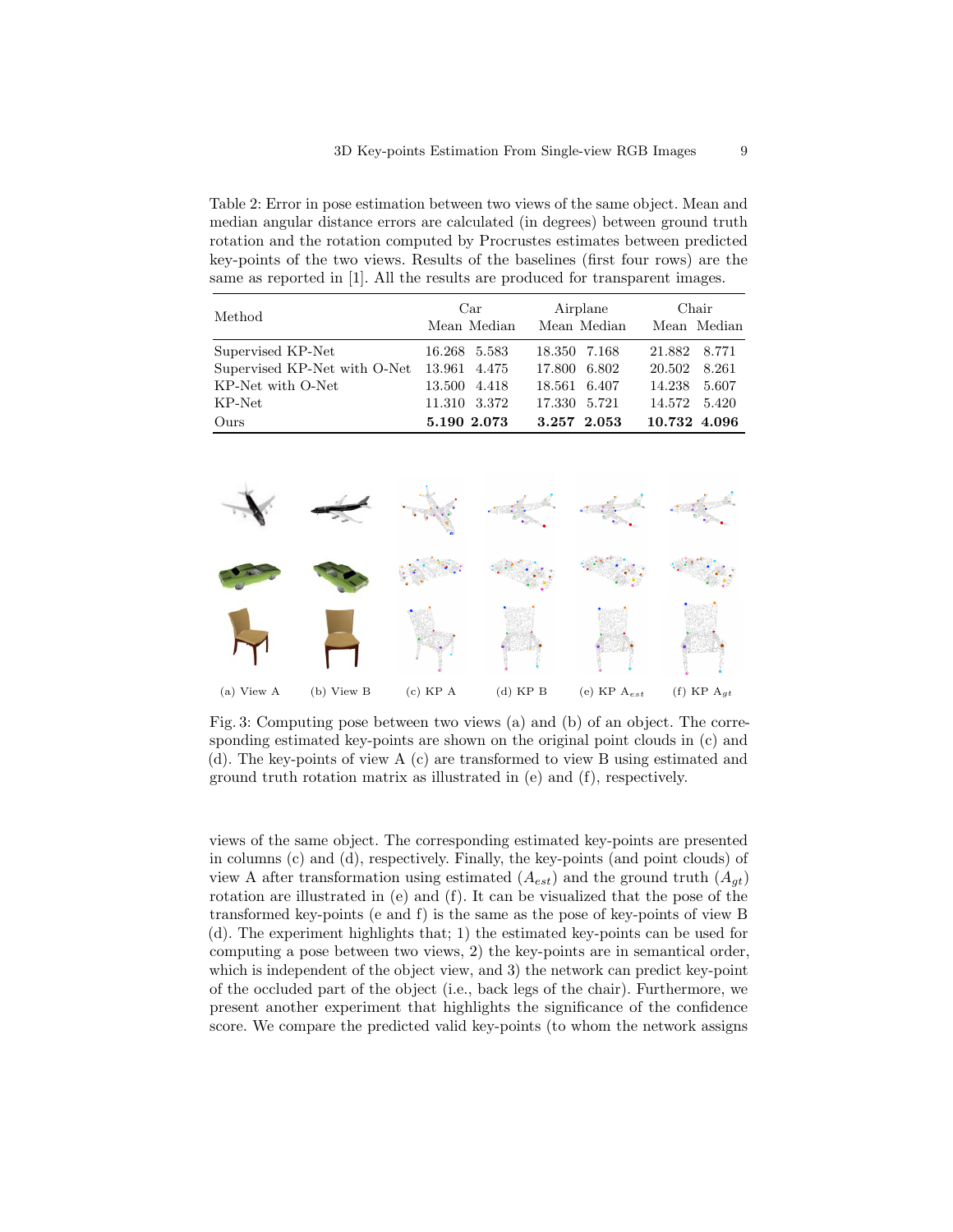Table 2: Error in pose estimation between two views of the same object. Mean and median angular distance errors are calculated (in degrees) between ground truth rotation and the rotation computed by Procrustes estimates between predicted key-points of the two views. Results of the baselines (first four rows) are the same as reported in [1]. All the results are produced for transparent images.

| Method                       | Car<br>Mean Median | Airplane<br>Mean Median | Chair<br>Mean Median |
|------------------------------|--------------------|-------------------------|----------------------|
| Supervised KP-Net            | 16.268 5.583       | 18.350 7.168            | 21.882 8.771         |
| Supervised KP-Net with O-Net | 13.961 4.475       | 17.800 6.802            | 20.502<br>8.261      |
| KP-Net with O-Net            | 13.500 4.418       | 18.561 6.407            | 14.238<br>5.607      |
| KP-Net                       | 11.310 3.372       | 17.330 5.721            | 14.572 5.420         |
| Ours                         | 5.190 2.073        | 3.257 2.053             | 10.732 4.096         |



Fig. 3: Computing pose between two views (a) and (b) of an object. The corresponding estimated key-points are shown on the original point clouds in (c) and (d). The key-points of view A (c) are transformed to view B using estimated and ground truth rotation matrix as illustrated in (e) and (f), respectively.

views of the same object. The corresponding estimated key-points are presented in columns (c) and (d), respectively. Finally, the key-points (and point clouds) of view A after transformation using estimated  $(A_{est})$  and the ground truth  $(A_{at})$ rotation are illustrated in (e) and (f). It can be visualized that the pose of the transformed key-points (e and f) is the same as the pose of key-points of view B (d). The experiment highlights that; 1) the estimated key-points can be used for computing a pose between two views, 2) the key-points are in semantical order, which is independent of the object view, and 3) the network can predict key-point of the occluded part of the object (i.e., back legs of the chair). Furthermore, we present another experiment that highlights the significance of the confidence score. We compare the predicted valid key-points (to whom the network assigns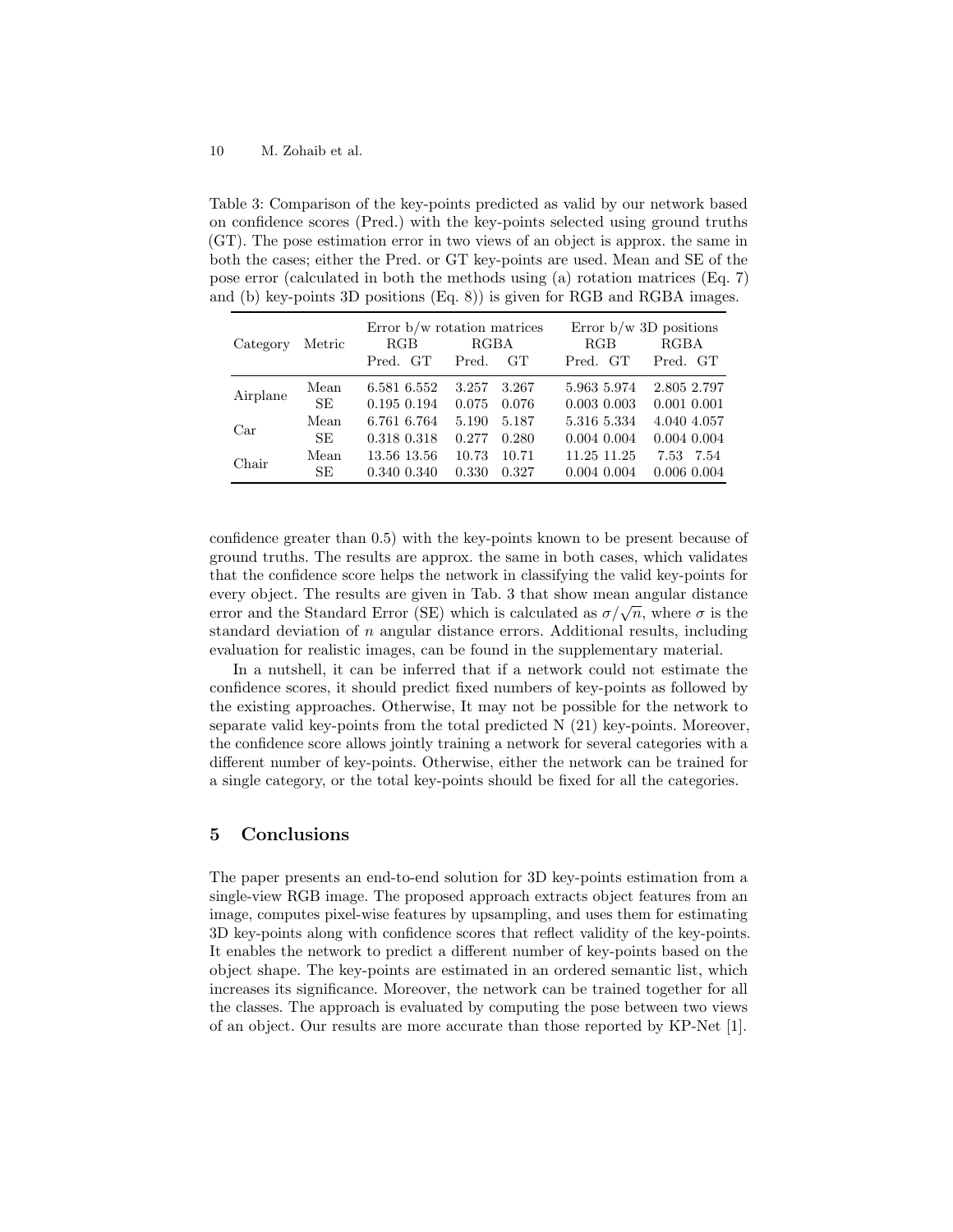Table 3: Comparison of the key-points predicted as valid by our network based on confidence scores (Pred.) with the key-points selected using ground truths (GT). The pose estimation error in two views of an object is approx. the same in both the cases; either the Pred. or GT key-points are used. Mean and SE of the pose error (calculated in both the methods using (a) rotation matrices (Eq. 7) and (b) key-points 3D positions (Eq. 8)) is given for RGB and RGBA images.

| Category | Metric    | Error $b/w$ rotation matrices<br>RGB<br>RGBA |       | Error $b/w$ 3D positions<br><b>RGBA</b><br>RGB |                 |              |
|----------|-----------|----------------------------------------------|-------|------------------------------------------------|-----------------|--------------|
|          |           | Pred. GT                                     | Pred. | <b>GT</b>                                      | Pred. GT        | Pred. GT     |
| Airplane | Mean      | 6.581 6.552                                  | 3.257 | 3.267                                          | 5.963 5.974     | 2.805 2.797  |
|          | <b>SE</b> | 0.195 0.194                                  | 0.075 | 0.076                                          | $0.003$ $0.003$ | 0.001 0.001  |
| Car      | Mean      | 6.761 6.764                                  | 5.190 | 5.187                                          | 5.316 5.334     | 4.040 4.057  |
|          | SE.       | 0.318 0.318                                  | 0.277 | 0.280                                          | 0.004 0.004     | 0.004 0.004  |
| Chair    | Mean      | 13.56 13.56                                  | 10.73 | 10.71                                          | 11.25 11.25     | 7.53<br>7.54 |
|          | SE        | 0.340 0.340                                  | 0.330 | 0.327                                          | 0.004 0.004     | 0.006 0.004  |

confidence greater than 0.5) with the key-points known to be present because of ground truths. The results are approx. the same in both cases, which validates that the confidence score helps the network in classifying the valid key-points for every object. The results are given in Tab. 3 that show mean angular distance every object. The results are given in Tab. 3 that show mean angular distance<br>error and the Standard Error (SE) which is calculated as  $\sigma/\sqrt{n}$ , where  $\sigma$  is the standard deviation of  $n$  angular distance errors. Additional results, including evaluation for realistic images, can be found in the supplementary material.

In a nutshell, it can be inferred that if a network could not estimate the confidence scores, it should predict fixed numbers of key-points as followed by the existing approaches. Otherwise, It may not be possible for the network to separate valid key-points from the total predicted N (21) key-points. Moreover, the confidence score allows jointly training a network for several categories with a different number of key-points. Otherwise, either the network can be trained for a single category, or the total key-points should be fixed for all the categories.

# 5 Conclusions

The paper presents an end-to-end solution for 3D key-points estimation from a single-view RGB image. The proposed approach extracts object features from an image, computes pixel-wise features by upsampling, and uses them for estimating 3D key-points along with confidence scores that reflect validity of the key-points. It enables the network to predict a different number of key-points based on the object shape. The key-points are estimated in an ordered semantic list, which increases its significance. Moreover, the network can be trained together for all the classes. The approach is evaluated by computing the pose between two views of an object. Our results are more accurate than those reported by KP-Net [1].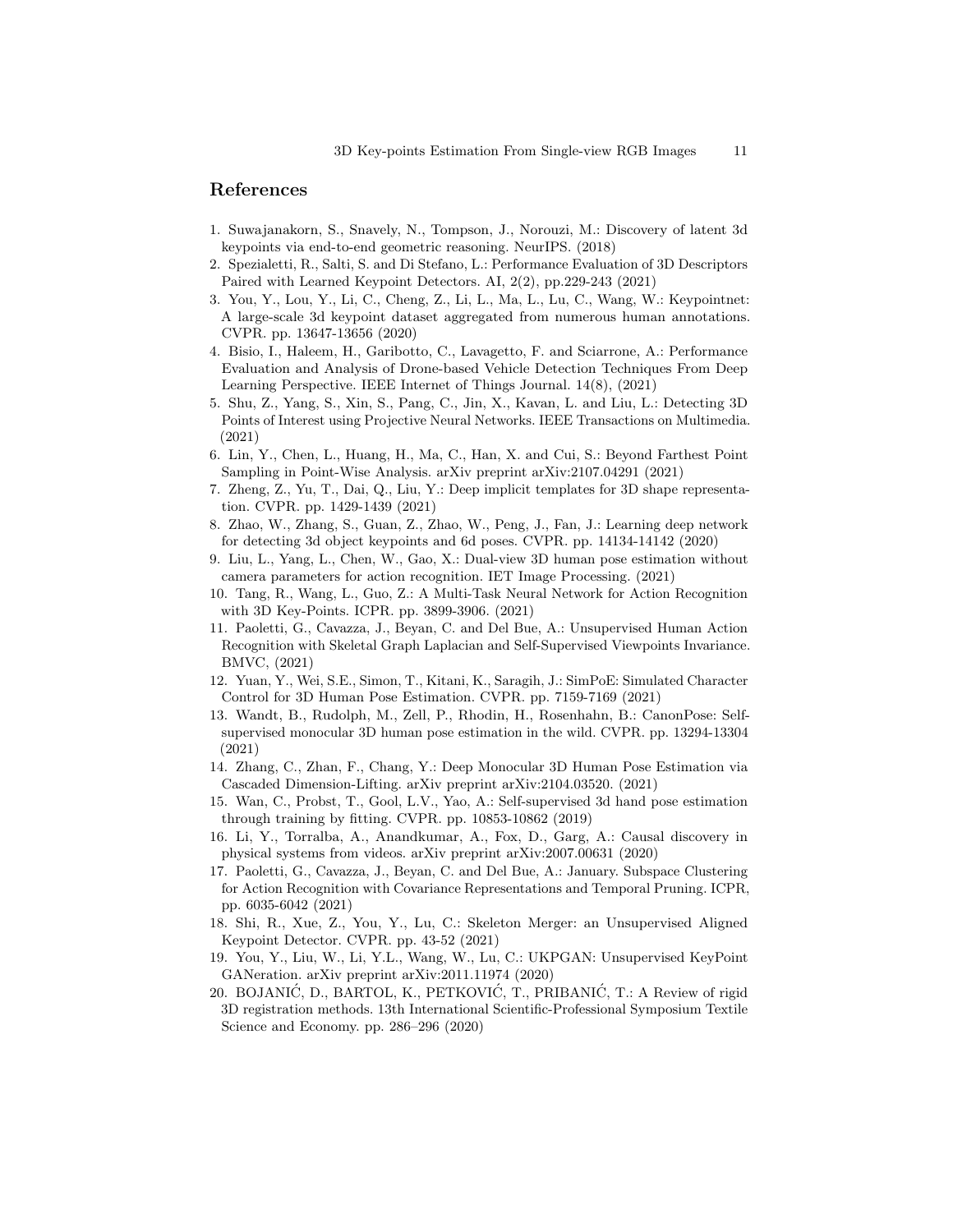## References

- 1. Suwajanakorn, S., Snavely, N., Tompson, J., Norouzi, M.: Discovery of latent 3d keypoints via end-to-end geometric reasoning. NeurIPS. (2018)
- 2. Spezialetti, R., Salti, S. and Di Stefano, L.: Performance Evaluation of 3D Descriptors Paired with Learned Keypoint Detectors. AI, 2(2), pp.229-243 (2021)
- 3. You, Y., Lou, Y., Li, C., Cheng, Z., Li, L., Ma, L., Lu, C., Wang, W.: Keypointnet: A large-scale 3d keypoint dataset aggregated from numerous human annotations. CVPR. pp. 13647-13656 (2020)
- 4. Bisio, I., Haleem, H., Garibotto, C., Lavagetto, F. and Sciarrone, A.: Performance Evaluation and Analysis of Drone-based Vehicle Detection Techniques From Deep Learning Perspective. IEEE Internet of Things Journal. 14(8), (2021)
- 5. Shu, Z., Yang, S., Xin, S., Pang, C., Jin, X., Kavan, L. and Liu, L.: Detecting 3D Points of Interest using Projective Neural Networks. IEEE Transactions on Multimedia. (2021)
- 6. Lin, Y., Chen, L., Huang, H., Ma, C., Han, X. and Cui, S.: Beyond Farthest Point Sampling in Point-Wise Analysis. arXiv preprint arXiv:2107.04291 (2021)
- 7. Zheng, Z., Yu, T., Dai, Q., Liu, Y.: Deep implicit templates for 3D shape representation. CVPR. pp. 1429-1439 (2021)
- 8. Zhao, W., Zhang, S., Guan, Z., Zhao, W., Peng, J., Fan, J.: Learning deep network for detecting 3d object keypoints and 6d poses. CVPR. pp. 14134-14142 (2020)
- 9. Liu, L., Yang, L., Chen, W., Gao, X.: Dual-view 3D human pose estimation without camera parameters for action recognition. IET Image Processing. (2021)
- 10. Tang, R., Wang, L., Guo, Z.: A Multi-Task Neural Network for Action Recognition with 3D Key-Points. ICPR. pp. 3899-3906. (2021)
- 11. Paoletti, G., Cavazza, J., Beyan, C. and Del Bue, A.: Unsupervised Human Action Recognition with Skeletal Graph Laplacian and Self-Supervised Viewpoints Invariance. BMVC, (2021)
- 12. Yuan, Y., Wei, S.E., Simon, T., Kitani, K., Saragih, J.: SimPoE: Simulated Character Control for 3D Human Pose Estimation. CVPR. pp. 7159-7169 (2021)
- 13. Wandt, B., Rudolph, M., Zell, P., Rhodin, H., Rosenhahn, B.: CanonPose: Selfsupervised monocular 3D human pose estimation in the wild. CVPR. pp. 13294-13304 (2021)
- 14. Zhang, C., Zhan, F., Chang, Y.: Deep Monocular 3D Human Pose Estimation via Cascaded Dimension-Lifting. arXiv preprint arXiv:2104.03520. (2021)
- 15. Wan, C., Probst, T., Gool, L.V., Yao, A.: Self-supervised 3d hand pose estimation through training by fitting. CVPR. pp. 10853-10862 (2019)
- 16. Li, Y., Torralba, A., Anandkumar, A., Fox, D., Garg, A.: Causal discovery in physical systems from videos. arXiv preprint arXiv:2007.00631 (2020)
- 17. Paoletti, G., Cavazza, J., Beyan, C. and Del Bue, A.: January. Subspace Clustering for Action Recognition with Covariance Representations and Temporal Pruning. ICPR, pp. 6035-6042 (2021)
- 18. Shi, R., Xue, Z., You, Y., Lu, C.: Skeleton Merger: an Unsupervised Aligned Keypoint Detector. CVPR. pp. 43-52 (2021)
- 19. You, Y., Liu, W., Li, Y.L., Wang, W., Lu, C.: UKPGAN: Unsupervised KeyPoint GANeration. arXiv preprint arXiv:2011.11974 (2020)
- 20. BOJANIĆ, D., BARTOL, K., PETKOVIĆ, T., PRIBANIĆ, T.: A Review of rigid 3D registration methods. 13th International Scientific-Professional Symposium Textile Science and Economy. pp. 286–296 (2020)